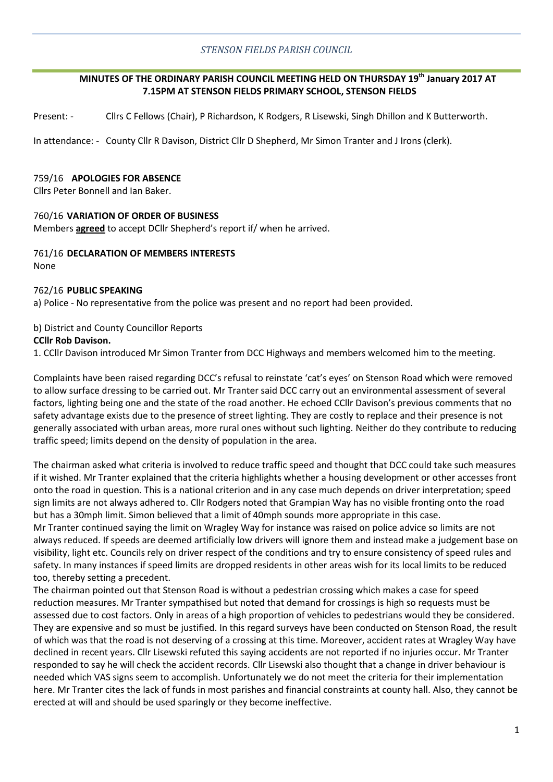## *STENSON FIELDS PARISH COUNCIL*

## **MINUTES OF THE ORDINARY PARISH COUNCIL MEETING HELD ON THURSDAY 19th January 2017 AT 7.15PM AT STENSON FIELDS PRIMARY SCHOOL, STENSON FIELDS**

Present: - Cllrs C Fellows (Chair), P Richardson, K Rodgers, R Lisewski, Singh Dhillon and K Butterworth.

In attendance: - County Cllr R Davison, District Cllr D Shepherd, Mr Simon Tranter and J Irons (clerk).

#### 759/16 **APOLOGIES FOR ABSENCE**

Cllrs Peter Bonnell and Ian Baker.

# 760/16 **VARIATION OF ORDER OF BUSINESS**

Members **agreed** to accept DCllr Shepherd's report if/ when he arrived.

#### 761/16 **DECLARATION OF MEMBERS INTERESTS** None

#### 762/16 **PUBLIC SPEAKING**

a) Police - No representative from the police was present and no report had been provided.

### b) District and County Councillor Reports

#### **CCllr Rob Davison.**

1. CCllr Davison introduced Mr Simon Tranter from DCC Highways and members welcomed him to the meeting.

Complaints have been raised regarding DCC's refusal to reinstate 'cat's eyes' on Stenson Road which were removed to allow surface dressing to be carried out. Mr Tranter said DCC carry out an environmental assessment of several factors, lighting being one and the state of the road another. He echoed CCllr Davison's previous comments that no safety advantage exists due to the presence of street lighting. They are costly to replace and their presence is not generally associated with urban areas, more rural ones without such lighting. Neither do they contribute to reducing traffic speed; limits depend on the density of population in the area.

The chairman asked what criteria is involved to reduce traffic speed and thought that DCC could take such measures if it wished. Mr Tranter explained that the criteria highlights whether a housing development or other accesses front onto the road in question. This is a national criterion and in any case much depends on driver interpretation; speed sign limits are not always adhered to. Cllr Rodgers noted that Grampian Way has no visible fronting onto the road but has a 30mph limit. Simon believed that a limit of 40mph sounds more appropriate in this case.

Mr Tranter continued saying the limit on Wragley Way for instance was raised on police advice so limits are not always reduced. If speeds are deemed artificially low drivers will ignore them and instead make a judgement base on visibility, light etc. Councils rely on driver respect of the conditions and try to ensure consistency of speed rules and safety. In many instances if speed limits are dropped residents in other areas wish for its local limits to be reduced too, thereby setting a precedent.

The chairman pointed out that Stenson Road is without a pedestrian crossing which makes a case for speed reduction measures. Mr Tranter sympathised but noted that demand for crossings is high so requests must be assessed due to cost factors. Only in areas of a high proportion of vehicles to pedestrians would they be considered. They are expensive and so must be justified. In this regard surveys have been conducted on Stenson Road, the result of which was that the road is not deserving of a crossing at this time. Moreover, accident rates at Wragley Way have declined in recent years. Cllr Lisewski refuted this saying accidents are not reported if no injuries occur. Mr Tranter responded to say he will check the accident records. Cllr Lisewski also thought that a change in driver behaviour is needed which VAS signs seem to accomplish. Unfortunately we do not meet the criteria for their implementation here. Mr Tranter cites the lack of funds in most parishes and financial constraints at county hall. Also, they cannot be erected at will and should be used sparingly or they become ineffective.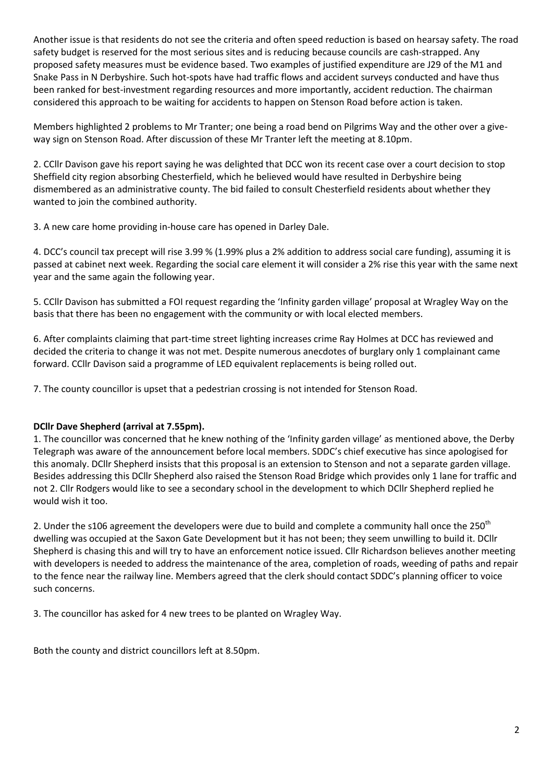Another issue is that residents do not see the criteria and often speed reduction is based on hearsay safety. The road safety budget is reserved for the most serious sites and is reducing because councils are cash-strapped. Any proposed safety measures must be evidence based. Two examples of justified expenditure are J29 of the M1 and Snake Pass in N Derbyshire. Such hot-spots have had traffic flows and accident surveys conducted and have thus been ranked for best-investment regarding resources and more importantly, accident reduction. The chairman considered this approach to be waiting for accidents to happen on Stenson Road before action is taken.

Members highlighted 2 problems to Mr Tranter; one being a road bend on Pilgrims Way and the other over a giveway sign on Stenson Road. After discussion of these Mr Tranter left the meeting at 8.10pm.

2. CCllr Davison gave his report saying he was delighted that DCC won its recent case over a court decision to stop Sheffield city region absorbing Chesterfield, which he believed would have resulted in Derbyshire being dismembered as an administrative county. The bid failed to consult Chesterfield residents about whether they wanted to join the combined authority.

3. A new care home providing in-house care has opened in Darley Dale.

4. DCC's council tax precept will rise 3.99 % (1.99% plus a 2% addition to address social care funding), assuming it is passed at cabinet next week. Regarding the social care element it will consider a 2% rise this year with the same next year and the same again the following year.

5. CCllr Davison has submitted a FOI request regarding the 'Infinity garden village' proposal at Wragley Way on the basis that there has been no engagement with the community or with local elected members.

6. After complaints claiming that part-time street lighting increases crime Ray Holmes at DCC has reviewed and decided the criteria to change it was not met. Despite numerous anecdotes of burglary only 1 complainant came forward. CCllr Davison said a programme of LED equivalent replacements is being rolled out.

7. The county councillor is upset that a pedestrian crossing is not intended for Stenson Road.

# **DCllr Dave Shepherd (arrival at 7.55pm).**

1. The councillor was concerned that he knew nothing of the 'Infinity garden village' as mentioned above, the Derby Telegraph was aware of the announcement before local members. SDDC's chief executive has since apologised for this anomaly. DCllr Shepherd insists that this proposal is an extension to Stenson and not a separate garden village. Besides addressing this DCllr Shepherd also raised the Stenson Road Bridge which provides only 1 lane for traffic and not 2. Cllr Rodgers would like to see a secondary school in the development to which DCllr Shepherd replied he would wish it too.

2. Under the s106 agreement the developers were due to build and complete a community hall once the 250<sup>th</sup> dwelling was occupied at the Saxon Gate Development but it has not been; they seem unwilling to build it. DCllr Shepherd is chasing this and will try to have an enforcement notice issued. Cllr Richardson believes another meeting with developers is needed to address the maintenance of the area, completion of roads, weeding of paths and repair to the fence near the railway line. Members agreed that the clerk should contact SDDC's planning officer to voice such concerns.

3. The councillor has asked for 4 new trees to be planted on Wragley Way.

Both the county and district councillors left at 8.50pm.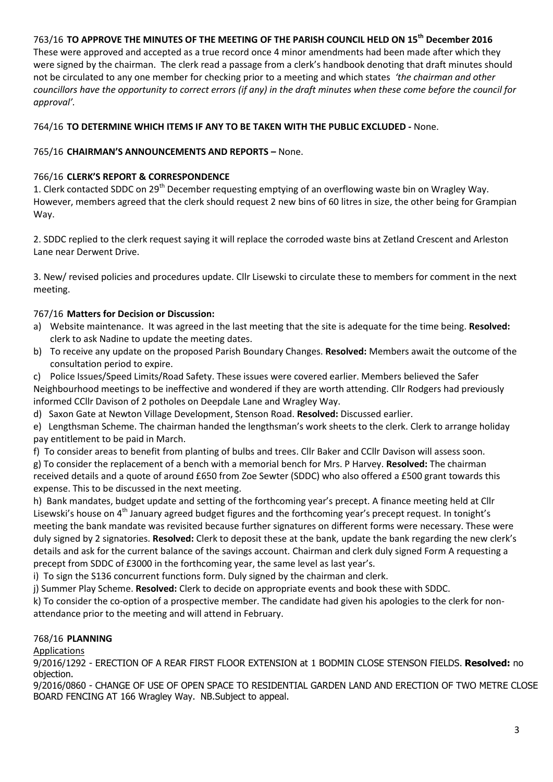# 763/16 **TO APPROVE THE MINUTES OF THE MEETING OF THE PARISH COUNCIL HELD ON 15th December 2016**

These were approved and accepted as a true record once 4 minor amendments had been made after which they were signed by the chairman. The clerk read a passage from a clerk's handbook denoting that draft minutes should not be circulated to any one member for checking prior to a meeting and which states *'the chairman and other councillors have the opportunity to correct errors (if any) in the draft minutes when these come before the council for approval'.*

## 764/16 **TO DETERMINE WHICH ITEMS IF ANY TO BE TAKEN WITH THE PUBLIC EXCLUDED -** None.

## 765/16 **CHAIRMAN'S ANNOUNCEMENTS AND REPORTS –** None.

# 766/16 **CLERK'S REPORT & CORRESPONDENCE**

1. Clerk contacted SDDC on 29<sup>th</sup> December requesting emptying of an overflowing waste bin on Wragley Way. However, members agreed that the clerk should request 2 new bins of 60 litres in size, the other being for Grampian Way.

2. SDDC replied to the clerk request saying it will replace the corroded waste bins at Zetland Crescent and Arleston Lane near Derwent Drive.

3. New/ revised policies and procedures update. Cllr Lisewski to circulate these to members for comment in the next meeting.

# 767/16 **Matters for Decision or Discussion:**

- a) Website maintenance. It was agreed in the last meeting that the site is adequate for the time being. **Resolved:** clerk to ask Nadine to update the meeting dates.
- b) To receive any update on the proposed Parish Boundary Changes. **Resolved:** Members await the outcome of the consultation period to expire.
- c) Police Issues/Speed Limits/Road Safety. These issues were covered earlier. Members believed the Safer Neighbourhood meetings to be ineffective and wondered if they are worth attending. Cllr Rodgers had previously informed CCllr Davison of 2 potholes on Deepdale Lane and Wragley Way.
- d) Saxon Gate at Newton Village Development, Stenson Road. **Resolved:** Discussed earlier.

e) Lengthsman Scheme. The chairman handed the lengthsman's work sheets to the clerk. Clerk to arrange holiday pay entitlement to be paid in March.

f) To consider areas to benefit from planting of bulbs and trees. Cllr Baker and CCllr Davison will assess soon.

g) To consider the replacement of a bench with a memorial bench for Mrs. P Harvey. **Resolved:** The chairman received details and a quote of around £650 from Zoe Sewter (SDDC) who also offered a £500 grant towards this expense. This to be discussed in the next meeting.

h) Bank mandates, budget update and setting of the forthcoming year's precept. A finance meeting held at Cllr Lisewski's house on 4<sup>th</sup> January agreed budget figures and the forthcoming year's precept request. In tonight's meeting the bank mandate was revisited because further signatures on different forms were necessary. These were duly signed by 2 signatories. **Resolved:** Clerk to deposit these at the bank, update the bank regarding the new clerk's details and ask for the current balance of the savings account. Chairman and clerk duly signed Form A requesting a precept from SDDC of £3000 in the forthcoming year, the same level as last year's.

i) To sign the S136 concurrent functions form. Duly signed by the chairman and clerk.

j) Summer Play Scheme. **Resolved:** Clerk to decide on appropriate events and book these with SDDC.

k) To consider the co-option of a prospective member. The candidate had given his apologies to the clerk for nonattendance prior to the meeting and will attend in February.

# 768/16 **PLANNING**

Applications

9/2016/1292 - ERECTION OF A REAR FIRST FLOOR EXTENSION at 1 BODMIN CLOSE STENSON FIELDS. **Resolved:** no objection.

9/2016/0860 - CHANGE OF USE OF OPEN SPACE TO RESIDENTIAL GARDEN LAND AND ERECTION OF TWO METRE CLOSE BOARD FENCING AT 166 Wragley Way. NB.Subject to appeal.